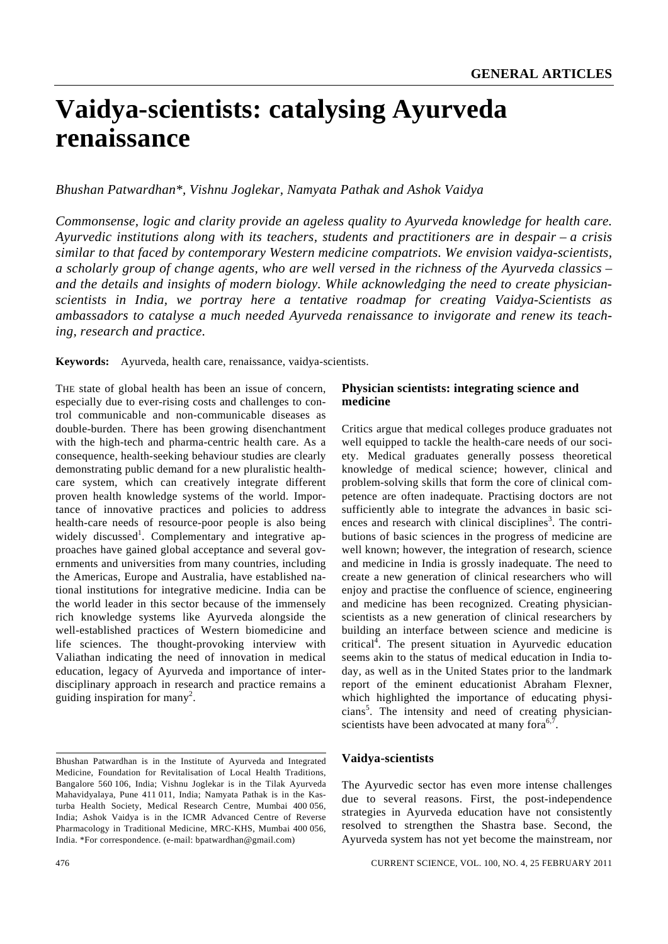# **Vaidya-scientists: catalysing Ayurveda renaissance**

# *Bhushan Patwardhan\*, Vishnu Joglekar, Namyata Pathak and Ashok Vaidya*

*Commonsense, logic and clarity provide an ageless quality to Ayurveda knowledge for health care. Ayurvedic institutions along with its teachers, students and practitioners are in despair – a crisis similar to that faced by contemporary Western medicine compatriots. We envision vaidya-scientists, a scholarly group of change agents, who are well versed in the richness of the Ayurveda classics – and the details and insights of modern biology. While acknowledging the need to create physicianscientists in India, we portray here a tentative roadmap for creating Vaidya-Scientists as ambassadors to catalyse a much needed Ayurveda renaissance to invigorate and renew its teaching, research and practice.* 

**Keywords:** Ayurveda, health care, renaissance, vaidya-scientists.

THE state of global health has been an issue of concern, especially due to ever-rising costs and challenges to control communicable and non-communicable diseases as double-burden. There has been growing disenchantment with the high-tech and pharma-centric health care. As a consequence, health-seeking behaviour studies are clearly demonstrating public demand for a new pluralistic healthcare system, which can creatively integrate different proven health knowledge systems of the world. Importance of innovative practices and policies to address health-care needs of resource-poor people is also being widely discussed<sup>1</sup>. Complementary and integrative approaches have gained global acceptance and several governments and universities from many countries, including the Americas, Europe and Australia, have established national institutions for integrative medicine. India can be the world leader in this sector because of the immensely rich knowledge systems like Ayurveda alongside the well-established practices of Western biomedicine and life sciences. The thought-provoking interview with Valiathan indicating the need of innovation in medical education, legacy of Ayurveda and importance of interdisciplinary approach in research and practice remains a guiding inspiration for many<sup>2</sup>.

#### **Physician scientists: integrating science and medicine**

Critics argue that medical colleges produce graduates not well equipped to tackle the health-care needs of our society. Medical graduates generally possess theoretical knowledge of medical science; however, clinical and problem-solving skills that form the core of clinical competence are often inadequate. Practising doctors are not sufficiently able to integrate the advances in basic sciences and research with clinical disciplines<sup>3</sup>. The contributions of basic sciences in the progress of medicine are well known; however, the integration of research, science and medicine in India is grossly inadequate. The need to create a new generation of clinical researchers who will enjoy and practise the confluence of science, engineering and medicine has been recognized. Creating physicianscientists as a new generation of clinical researchers by building an interface between science and medicine is critical<sup>4</sup>. The present situation in Ayurvedic education seems akin to the status of medical education in India today, as well as in the United States prior to the landmark report of the eminent educationist Abraham Flexner, which highlighted the importance of educating physicians<sup>5</sup>. The intensity and need of creating physicianscientists have been advocated at many fora<sup>6,7</sup>

## **Vaidya-scientists**

The Ayurvedic sector has even more intense challenges due to several reasons. First, the post-independence strategies in Ayurveda education have not consistently resolved to strengthen the Shastra base. Second, the Ayurveda system has not yet become the mainstream, nor

Bhushan Patwardhan is in the Institute of Ayurveda and Integrated Medicine, Foundation for Revitalisation of Local Health Traditions, Bangalore 560 106, India; Vishnu Joglekar is in the Tilak Ayurveda Mahavidyalaya, Pune 411 011, India; Namyata Pathak is in the Kasturba Health Society, Medical Research Centre, Mumbai 400 056, India; Ashok Vaidya is in the ICMR Advanced Centre of Reverse Pharmacology in Traditional Medicine, MRC-KHS, Mumbai 400 056, India. \*For correspondence. (e-mail: bpatwardhan@gmail.com)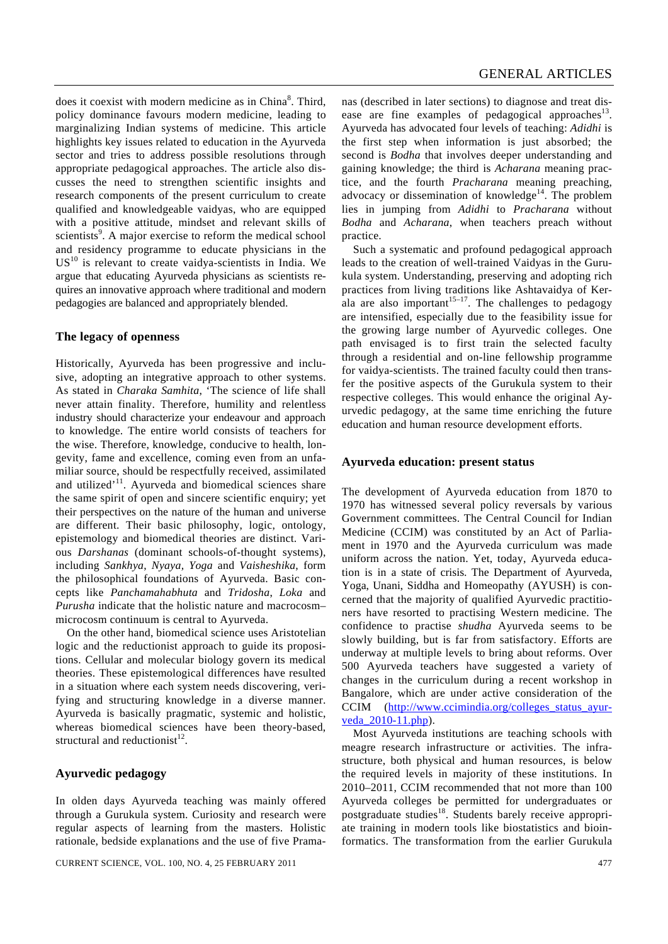does it coexist with modern medicine as in China<sup>8</sup>. Third, policy dominance favours modern medicine, leading to marginalizing Indian systems of medicine. This article highlights key issues related to education in the Ayurveda sector and tries to address possible resolutions through appropriate pedagogical approaches. The article also discusses the need to strengthen scientific insights and research components of the present curriculum to create qualified and knowledgeable vaidyas, who are equipped with a positive attitude, mindset and relevant skills of scientists<sup>9</sup>. A major exercise to reform the medical school and residency programme to educate physicians in the  $US<sup>10</sup>$  is relevant to create vaidya-scientists in India. We argue that educating Ayurveda physicians as scientists requires an innovative approach where traditional and modern pedagogies are balanced and appropriately blended.

## **The legacy of openness**

Historically, Ayurveda has been progressive and inclusive, adopting an integrative approach to other systems. As stated in *Charaka Samhita*, 'The science of life shall never attain finality. Therefore, humility and relentless industry should characterize your endeavour and approach to knowledge. The entire world consists of teachers for the wise. Therefore, knowledge, conducive to health, longevity, fame and excellence, coming even from an unfamiliar source, should be respectfully received, assimilated and utilized<sup>'11</sup>. Ayurveda and biomedical sciences share the same spirit of open and sincere scientific enquiry; yet their perspectives on the nature of the human and universe are different. Their basic philosophy, logic, ontology, epistemology and biomedical theories are distinct. Various *Darshanas* (dominant schools-of-thought systems), including *Sankhya*, *Nyaya, Yoga* and *Vaisheshika*, form the philosophical foundations of Ayurveda. Basic concepts like *Panchamahabhuta* and *Tridosha*, *Loka* and *Purusha* indicate that the holistic nature and macrocosm– microcosm continuum is central to Ayurveda.

 On the other hand, biomedical science uses Aristotelian logic and the reductionist approach to guide its propositions. Cellular and molecular biology govern its medical theories. These epistemological differences have resulted in a situation where each system needs discovering, verifying and structuring knowledge in a diverse manner. Ayurveda is basically pragmatic, systemic and holistic, whereas biomedical sciences have been theory-based, structural and reductionist<sup>12</sup>.

#### **Ayurvedic pedagogy**

In olden days Ayurveda teaching was mainly offered through a Gurukula system. Curiosity and research were regular aspects of learning from the masters. Holistic rationale, bedside explanations and the use of five Pramanas (described in later sections) to diagnose and treat disease are fine examples of pedagogical approaches<sup>13</sup>. Ayurveda has advocated four levels of teaching: *Adidhi* is the first step when information is just absorbed; the second is *Bodha* that involves deeper understanding and gaining knowledge; the third is *Acharana* meaning practice, and the fourth *Pracharana* meaning preaching, advocacy or dissemination of knowledge<sup>14</sup>. The problem lies in jumping from *Adidhi* to *Pracharana* without *Bodha* and *Acharana*, when teachers preach without practice.

 Such a systematic and profound pedagogical approach leads to the creation of well-trained Vaidyas in the Gurukula system. Understanding, preserving and adopting rich practices from living traditions like Ashtavaidya of Kerala are also important $15-17$ . The challenges to pedagogy are intensified, especially due to the feasibility issue for the growing large number of Ayurvedic colleges. One path envisaged is to first train the selected faculty through a residential and on-line fellowship programme for vaidya-scientists. The trained faculty could then transfer the positive aspects of the Gurukula system to their respective colleges. This would enhance the original Ayurvedic pedagogy, at the same time enriching the future education and human resource development efforts.

#### **Ayurveda education: present status**

The development of Ayurveda education from 1870 to 1970 has witnessed several policy reversals by various Government committees. The Central Council for Indian Medicine (CCIM) was constituted by an Act of Parliament in 1970 and the Ayurveda curriculum was made uniform across the nation. Yet, today, Ayurveda education is in a state of crisis. The Department of Ayurveda, Yoga, Unani, Siddha and Homeopathy (AYUSH) is concerned that the majority of qualified Ayurvedic practitioners have resorted to practising Western medicine. The confidence to practise *shudha* Ayurveda seems to be slowly building, but is far from satisfactory. Efforts are underway at multiple levels to bring about reforms. Over 500 Ayurveda teachers have suggested a variety of changes in the curriculum during a recent workshop in Bangalore, which are under active consideration of the CCIM (http://www.ccimindia.org/colleges\_status\_ayurveda 2010-11.php).

 Most Ayurveda institutions are teaching schools with meagre research infrastructure or activities. The infrastructure, both physical and human resources, is below the required levels in majority of these institutions. In 2010–2011, CCIM recommended that not more than 100 Ayurveda colleges be permitted for undergraduates or postgraduate studies<sup>18</sup>. Students barely receive appropriate training in modern tools like biostatistics and bioinformatics. The transformation from the earlier Gurukula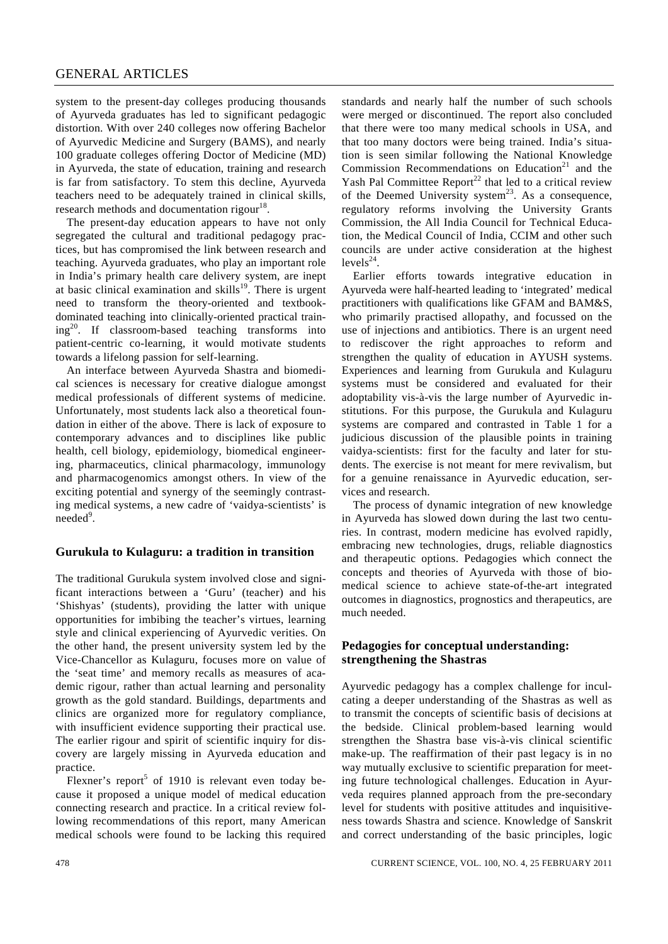### GENERAL ARTICLES

system to the present-day colleges producing thousands of Ayurveda graduates has led to significant pedagogic distortion. With over 240 colleges now offering Bachelor of Ayurvedic Medicine and Surgery (BAMS), and nearly 100 graduate colleges offering Doctor of Medicine (MD) in Ayurveda, the state of education, training and research is far from satisfactory. To stem this decline, Ayurveda teachers need to be adequately trained in clinical skills, research methods and documentation rigour<sup>18</sup>.

 The present-day education appears to have not only segregated the cultural and traditional pedagogy practices, but has compromised the link between research and teaching. Ayurveda graduates, who play an important role in India's primary health care delivery system, are inept at basic clinical examination and skills<sup>19</sup>. There is urgent need to transform the theory-oriented and textbookdominated teaching into clinically-oriented practical train $ing^{20}$ . If classroom-based teaching transforms into patient-centric co-learning, it would motivate students towards a lifelong passion for self-learning.

 An interface between Ayurveda Shastra and biomedical sciences is necessary for creative dialogue amongst medical professionals of different systems of medicine. Unfortunately, most students lack also a theoretical foundation in either of the above. There is lack of exposure to contemporary advances and to disciplines like public health, cell biology, epidemiology, biomedical engineering, pharmaceutics, clinical pharmacology, immunology and pharmacogenomics amongst others. In view of the exciting potential and synergy of the seemingly contrasting medical systems, a new cadre of 'vaidya-scientists' is needed<sup>9</sup>.

#### **Gurukula to Kulaguru: a tradition in transition**

The traditional Gurukula system involved close and significant interactions between a 'Guru' (teacher) and his 'Shishyas' (students), providing the latter with unique opportunities for imbibing the teacher's virtues, learning style and clinical experiencing of Ayurvedic verities. On the other hand, the present university system led by the Vice-Chancellor as Kulaguru, focuses more on value of the 'seat time' and memory recalls as measures of academic rigour, rather than actual learning and personality growth as the gold standard. Buildings, departments and clinics are organized more for regulatory compliance, with insufficient evidence supporting their practical use. The earlier rigour and spirit of scientific inquiry for discovery are largely missing in Ayurveda education and practice.

Flexner's report<sup>5</sup> of 1910 is relevant even today because it proposed a unique model of medical education connecting research and practice. In a critical review following recommendations of this report, many American medical schools were found to be lacking this required standards and nearly half the number of such schools were merged or discontinued. The report also concluded that there were too many medical schools in USA, and that too many doctors were being trained. India's situation is seen similar following the National Knowledge Commission Recommendations on Education<sup>21</sup> and the Yash Pal Committee Report<sup>22</sup> that led to a critical review of the Deemed University system<sup>23</sup>. As a consequence, regulatory reforms involving the University Grants Commission, the All India Council for Technical Education, the Medical Council of India, CCIM and other such councils are under active consideration at the highest  $levels^{24}$ .

 Earlier efforts towards integrative education in Ayurveda were half-hearted leading to 'integrated' medical practitioners with qualifications like GFAM and BAM&S, who primarily practised allopathy, and focussed on the use of injections and antibiotics. There is an urgent need to rediscover the right approaches to reform and strengthen the quality of education in AYUSH systems. Experiences and learning from Gurukula and Kulaguru systems must be considered and evaluated for their adoptability vis-à-vis the large number of Ayurvedic institutions. For this purpose, the Gurukula and Kulaguru systems are compared and contrasted in Table 1 for a judicious discussion of the plausible points in training vaidya-scientists: first for the faculty and later for students. The exercise is not meant for mere revivalism, but for a genuine renaissance in Ayurvedic education, services and research.

 The process of dynamic integration of new knowledge in Ayurveda has slowed down during the last two centuries. In contrast, modern medicine has evolved rapidly, embracing new technologies, drugs, reliable diagnostics and therapeutic options. Pedagogies which connect the concepts and theories of Ayurveda with those of biomedical science to achieve state-of-the-art integrated outcomes in diagnostics, prognostics and therapeutics, are much needed.

### **Pedagogies for conceptual understanding:** **strengthening the Shastras**

Ayurvedic pedagogy has a complex challenge for inculcating a deeper understanding of the Shastras as well as to transmit the concepts of scientific basis of decisions at the bedside. Clinical problem-based learning would strengthen the Shastra base vis-à-vis clinical scientific make-up. The reaffirmation of their past legacy is in no way mutually exclusive to scientific preparation for meeting future technological challenges. Education in Ayurveda requires planned approach from the pre-secondary level for students with positive attitudes and inquisitiveness towards Shastra and science. Knowledge of Sanskrit and correct understanding of the basic principles, logic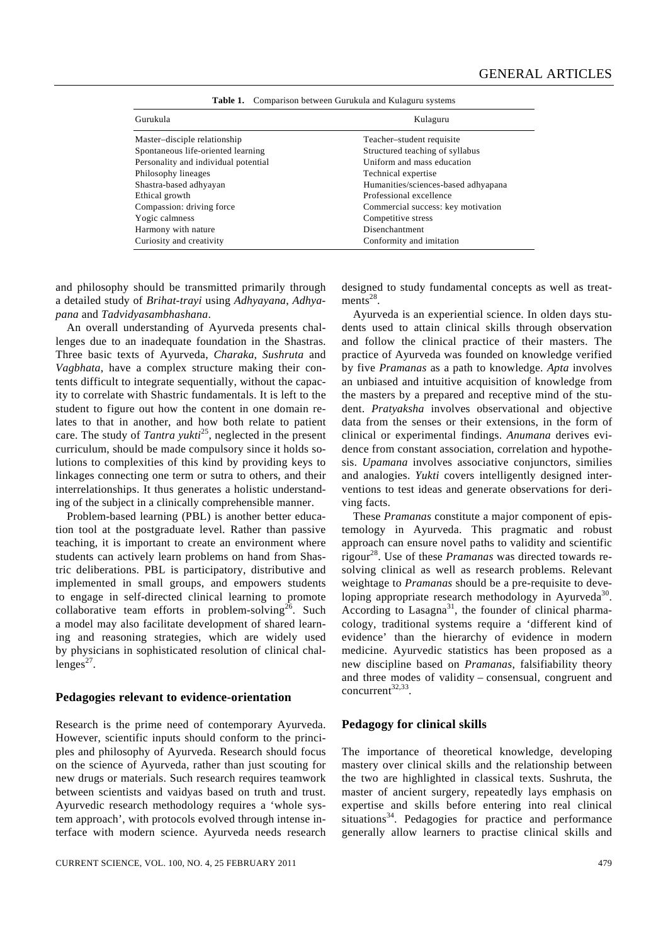| Gurukula                             | Kulaguru                            |
|--------------------------------------|-------------------------------------|
| Master-disciple relationship         | Teacher-student requisite           |
| Spontaneous life-oriented learning   | Structured teaching of syllabus     |
| Personality and individual potential | Uniform and mass education          |
| Philosophy lineages                  | Technical expertise                 |
| Shastra-based adhyayan               | Humanities/sciences-based adhyapana |
| Ethical growth                       | Professional excellence             |
| Compassion: driving force            | Commercial success: key motivation  |
| Yogic calmness                       | Competitive stress                  |
| Harmony with nature                  | Disenchantment                      |
| Curiosity and creativity             | Conformity and imitation            |

**Table 1.** Comparison between Gurukula and Kulaguru systems

and philosophy should be transmitted primarily through a detailed study of *Brihat-trayi* using *Adhyayana*, *Adhyapana* and *Tadvidyasambhashana*.

 An overall understanding of Ayurveda presents challenges due to an inadequate foundation in the Shastras. Three basic texts of Ayurveda, *Charaka*, *Sushruta* and *Vagbhata*, have a complex structure making their contents difficult to integrate sequentially, without the capacity to correlate with Shastric fundamentals. It is left to the student to figure out how the content in one domain relates to that in another, and how both relate to patient care. The study of *Tantra yukti*25, neglected in the present curriculum, should be made compulsory since it holds solutions to complexities of this kind by providing keys to linkages connecting one term or sutra to others, and their interrelationships. It thus generates a holistic understanding of the subject in a clinically comprehensible manner.

 Problem-based learning (PBL) is another better education tool at the postgraduate level. Rather than passive teaching, it is important to create an environment where students can actively learn problems on hand from Shastric deliberations. PBL is participatory, distributive and implemented in small groups, and empowers students to engage in self-directed clinical learning to promote collaborative team efforts in problem-solving<sup>26</sup>. Such a model may also facilitate development of shared learning and reasoning strategies, which are widely used by physicians in sophisticated resolution of clinical challenges $^{27}$ .

#### **Pedagogies relevant to evidence-orientation**

Research is the prime need of contemporary Ayurveda. However, scientific inputs should conform to the principles and philosophy of Ayurveda. Research should focus on the science of Ayurveda, rather than just scouting for new drugs or materials. Such research requires teamwork between scientists and vaidyas based on truth and trust. Ayurvedic research methodology requires a 'whole system approach', with protocols evolved through intense interface with modern science. Ayurveda needs research designed to study fundamental concepts as well as treatments<sup>28</sup>.

 Ayurveda is an experiential science. In olden days students used to attain clinical skills through observation and follow the clinical practice of their masters. The practice of Ayurveda was founded on knowledge verified by five *Pramanas* as a path to knowledge. *Apta* involves an unbiased and intuitive acquisition of knowledge from the masters by a prepared and receptive mind of the student. *Pratyaksha* involves observational and objective data from the senses or their extensions, in the form of clinical or experimental findings. *Anumana* derives evidence from constant association, correlation and hypothesis. *Upamana* involves associative conjunctors, similies and analogies. *Yukti* covers intelligently designed interventions to test ideas and generate observations for deriving facts.

 These *Pramanas* constitute a major component of epistemology in Ayurveda. This pragmatic and robust approach can ensure novel paths to validity and scientific rigour28. Use of these *Pramanas* was directed towards resolving clinical as well as research problems. Relevant weightage to *Pramanas* should be a pre-requisite to developing appropriate research methodology in Ayurveda<sup>30</sup>. According to Lasagna<sup>31</sup>, the founder of clinical pharmacology, traditional systems require a 'different kind of evidence' than the hierarchy of evidence in modern medicine. Ayurvedic statistics has been proposed as a new discipline based on *Pramanas*, falsifiability theory and three modes of validity – consensual, congruent and concurrent<sup>32,33</sup>

#### **Pedagogy for clinical skills**

The importance of theoretical knowledge, developing mastery over clinical skills and the relationship between the two are highlighted in classical texts. Sushruta, the master of ancient surgery, repeatedly lays emphasis on expertise and skills before entering into real clinical situations $34$ . Pedagogies for practice and performance generally allow learners to practise clinical skills and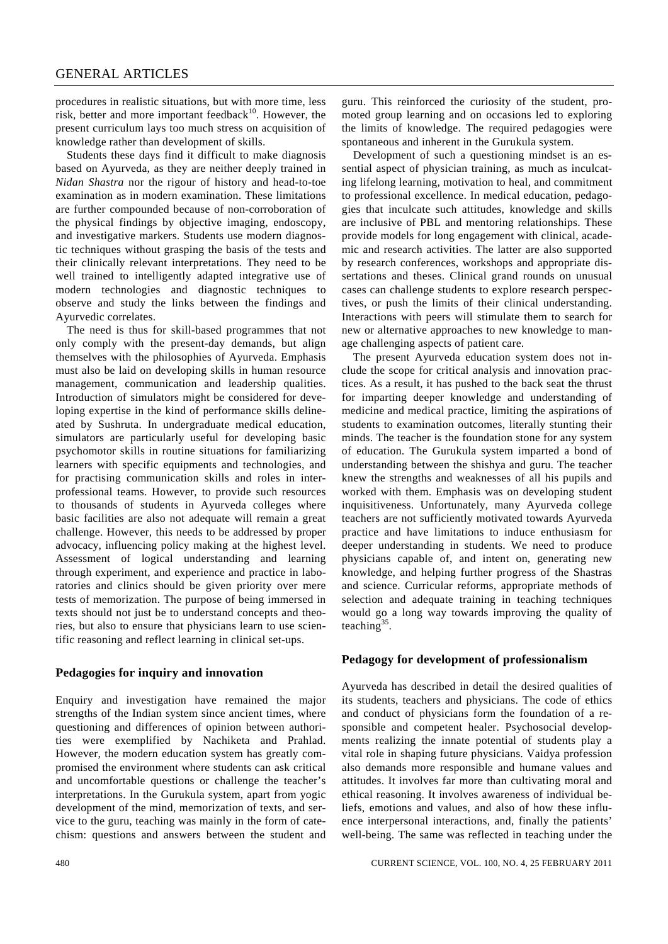procedures in realistic situations, but with more time, less risk, better and more important feedback $10$ . However, the present curriculum lays too much stress on acquisition of knowledge rather than development of skills.

 Students these days find it difficult to make diagnosis based on Ayurveda, as they are neither deeply trained in *Nidan Shastra* nor the rigour of history and head-to-toe examination as in modern examination. These limitations are further compounded because of non-corroboration of the physical findings by objective imaging, endoscopy, and investigative markers. Students use modern diagnostic techniques without grasping the basis of the tests and their clinically relevant interpretations. They need to be well trained to intelligently adapted integrative use of modern technologies and diagnostic techniques to observe and study the links between the findings and Ayurvedic correlates.

 The need is thus for skill-based programmes that not only comply with the present-day demands, but align themselves with the philosophies of Ayurveda. Emphasis must also be laid on developing skills in human resource management, communication and leadership qualities. Introduction of simulators might be considered for developing expertise in the kind of performance skills delineated by Sushruta. In undergraduate medical education, simulators are particularly useful for developing basic psychomotor skills in routine situations for familiarizing learners with specific equipments and technologies, and for practising communication skills and roles in interprofessional teams. However, to provide such resources to thousands of students in Ayurveda colleges where basic facilities are also not adequate will remain a great challenge. However, this needs to be addressed by proper advocacy, influencing policy making at the highest level. Assessment of logical understanding and learning through experiment, and experience and practice in laboratories and clinics should be given priority over mere tests of memorization. The purpose of being immersed in texts should not just be to understand concepts and theories, but also to ensure that physicians learn to use scientific reasoning and reflect learning in clinical set-ups.

#### **Pedagogies for inquiry and innovation**

Enquiry and investigation have remained the major strengths of the Indian system since ancient times, where questioning and differences of opinion between authorities were exemplified by Nachiketa and Prahlad. However, the modern education system has greatly compromised the environment where students can ask critical and uncomfortable questions or challenge the teacher's interpretations. In the Gurukula system, apart from yogic development of the mind, memorization of texts, and service to the guru, teaching was mainly in the form of catechism: questions and answers between the student and guru. This reinforced the curiosity of the student, promoted group learning and on occasions led to exploring the limits of knowledge. The required pedagogies were spontaneous and inherent in the Gurukula system.

 Development of such a questioning mindset is an essential aspect of physician training, as much as inculcating lifelong learning, motivation to heal, and commitment to professional excellence. In medical education, pedagogies that inculcate such attitudes, knowledge and skills are inclusive of PBL and mentoring relationships. These provide models for long engagement with clinical, academic and research activities. The latter are also supported by research conferences, workshops and appropriate dissertations and theses. Clinical grand rounds on unusual cases can challenge students to explore research perspectives, or push the limits of their clinical understanding. Interactions with peers will stimulate them to search for new or alternative approaches to new knowledge to manage challenging aspects of patient care.

 The present Ayurveda education system does not include the scope for critical analysis and innovation practices. As a result, it has pushed to the back seat the thrust for imparting deeper knowledge and understanding of medicine and medical practice, limiting the aspirations of students to examination outcomes, literally stunting their minds. The teacher is the foundation stone for any system of education. The Gurukula system imparted a bond of understanding between the shishya and guru. The teacher knew the strengths and weaknesses of all his pupils and worked with them. Emphasis was on developing student inquisitiveness. Unfortunately, many Ayurveda college teachers are not sufficiently motivated towards Ayurveda practice and have limitations to induce enthusiasm for deeper understanding in students. We need to produce physicians capable of, and intent on, generating new knowledge, and helping further progress of the Shastras and science. Curricular reforms, appropriate methods of selection and adequate training in teaching techniques would go a long way towards improving the quality of teaching  $35$ .

#### **Pedagogy for development of professionalism**

Ayurveda has described in detail the desired qualities of its students, teachers and physicians. The code of ethics and conduct of physicians form the foundation of a responsible and competent healer. Psychosocial developments realizing the innate potential of students play a vital role in shaping future physicians. Vaidya profession also demands more responsible and humane values and attitudes. It involves far more than cultivating moral and ethical reasoning. It involves awareness of individual beliefs, emotions and values, and also of how these influence interpersonal interactions, and, finally the patients' well-being. The same was reflected in teaching under the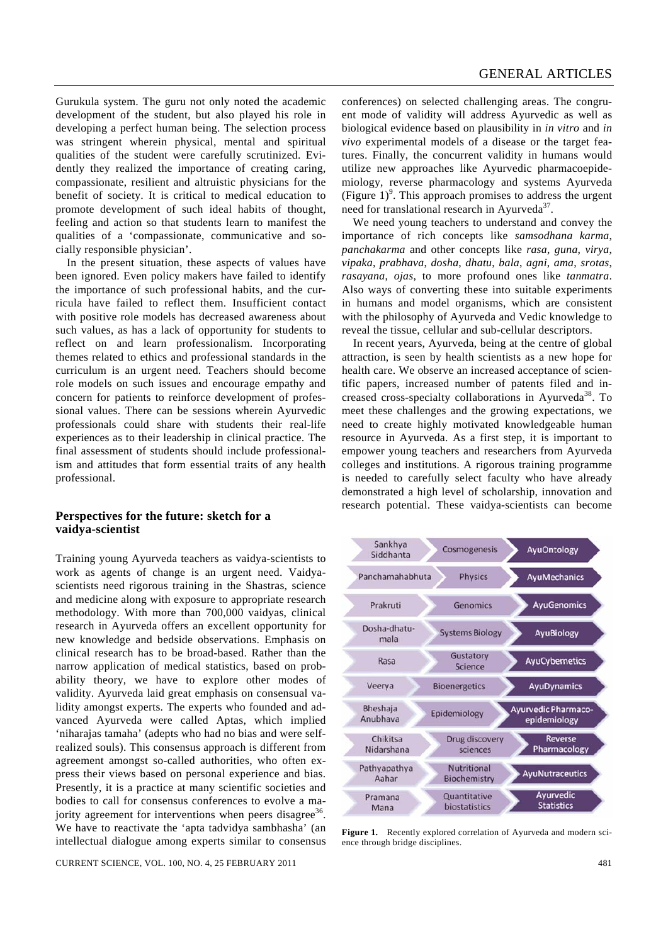Gurukula system. The guru not only noted the academic development of the student, but also played his role in developing a perfect human being. The selection process was stringent wherein physical, mental and spiritual qualities of the student were carefully scrutinized. Evidently they realized the importance of creating caring, compassionate, resilient and altruistic physicians for the benefit of society. It is critical to medical education to promote development of such ideal habits of thought, feeling and action so that students learn to manifest the qualities of a 'compassionate, communicative and socially responsible physician'.

 In the present situation, these aspects of values have been ignored. Even policy makers have failed to identify the importance of such professional habits, and the curricula have failed to reflect them. Insufficient contact with positive role models has decreased awareness about such values, as has a lack of opportunity for students to reflect on and learn professionalism. Incorporating themes related to ethics and professional standards in the curriculum is an urgent need. Teachers should become role models on such issues and encourage empathy and concern for patients to reinforce development of professional values. There can be sessions wherein Ayurvedic professionals could share with students their real-life experiences as to their leadership in clinical practice. The final assessment of students should include professionalism and attitudes that form essential traits of any health professional.

## **Perspectives for the future: sketch for a vaidya-scientist**

Training young Ayurveda teachers as vaidya-scientists to work as agents of change is an urgent need. Vaidyascientists need rigorous training in the Shastras, science and medicine along with exposure to appropriate research methodology. With more than 700,000 vaidyas, clinical research in Ayurveda offers an excellent opportunity for new knowledge and bedside observations. Emphasis on clinical research has to be broad-based. Rather than the narrow application of medical statistics, based on probability theory, we have to explore other modes of validity. Ayurveda laid great emphasis on consensual validity amongst experts. The experts who founded and advanced Ayurveda were called Aptas, which implied 'niharajas tamaha' (adepts who had no bias and were selfrealized souls). This consensus approach is different from agreement amongst so-called authorities, who often express their views based on personal experience and bias. Presently, it is a practice at many scientific societies and bodies to call for consensus conferences to evolve a majority agreement for interventions when peers disagree<sup>36</sup>. We have to reactivate the 'apta tadvidya sambhasha' (an intellectual dialogue among experts similar to consensus

CURRENT SCIENCE, VOL. 100, NO. 4, 25 FEBRUARY 2011 481

conferences) on selected challenging areas. The congruent mode of validity will address Ayurvedic as well as biological evidence based on plausibility in *in vitro* and *in vivo* experimental models of a disease or the target features. Finally, the concurrent validity in humans would utilize new approaches like Ayurvedic pharmacoepidemiology, reverse pharmacology and systems Ayurveda (Figure  $1$ )<sup>9</sup>. This approach promises to address the urgent need for translational research in Ayurveda<sup>37</sup>.

 We need young teachers to understand and convey the importance of rich concepts like *samsodhana karma*, *panchakarma* and other concepts like *rasa*, *guna*, *virya*, *vipaka*, *prabhava*, *dosha*, *dhatu*, *bala*, *agni*, *ama*, *srotas*, *rasayana*, *ojas*, to more profound ones like *tanmatra*. Also ways of converting these into suitable experiments in humans and model organisms, which are consistent with the philosophy of Ayurveda and Vedic knowledge to reveal the tissue, cellular and sub-cellular descriptors.

 In recent years, Ayurveda, being at the centre of global attraction, is seen by health scientists as a new hope for health care. We observe an increased acceptance of scientific papers, increased number of patents filed and increased cross-specialty collaborations in Ayurveda<sup>38</sup>. To meet these challenges and the growing expectations, we need to create highly motivated knowledgeable human resource in Ayurveda. As a first step, it is important to empower young teachers and researchers from Ayurveda colleges and institutions. A rigorous training programme is needed to carefully select faculty who have already demonstrated a high level of scholarship, innovation and research potential. These vaidya-scientists can become



**Figure 1.** Recently explored correlation of Ayurveda and modern science through bridge disciplines.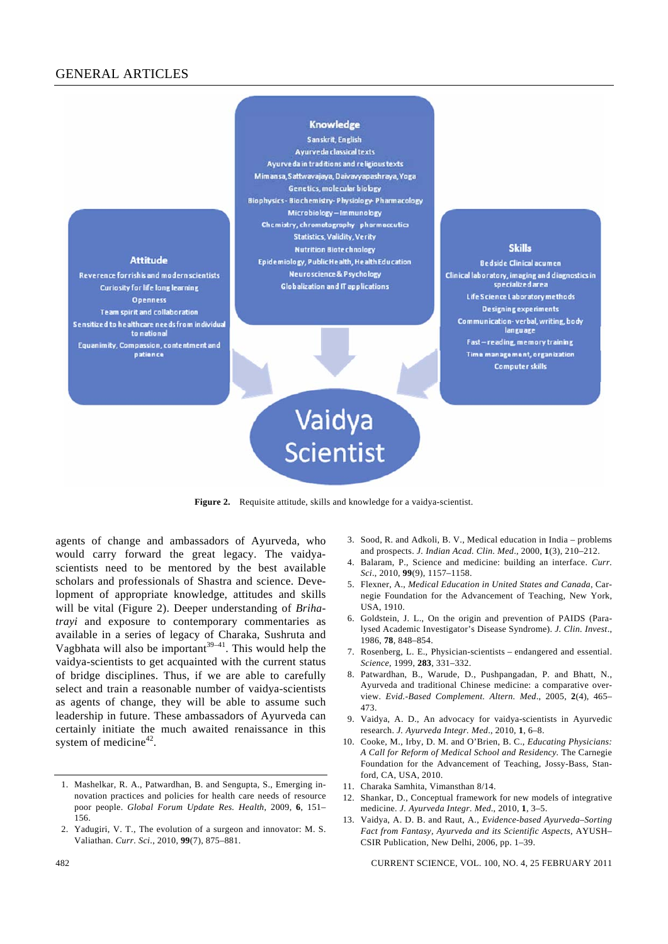# GENERAL ARTICLES



**Figure 2.** Requisite attitude, skills and knowledge for a vaidya-scientist.

agents of change and ambassadors of Ayurveda, who would carry forward the great legacy. The vaidyascientists need to be mentored by the best available scholars and professionals of Shastra and science. Development of appropriate knowledge, attitudes and skills will be vital (Figure 2). Deeper understanding of *Brihatrayi* and exposure to contemporary commentaries as available in a series of legacy of Charaka, Sushruta and Vagbhata will also be important<sup>39–41</sup>. This would help the vaidya-scientists to get acquainted with the current status of bridge disciplines. Thus, if we are able to carefully select and train a reasonable number of vaidya-scientists as agents of change, they will be able to assume such leadership in future. These ambassadors of Ayurveda can certainly initiate the much awaited renaissance in this system of medicine<sup>42</sup>.

- 3. Sood, R. and Adkoli, B. V., Medical education in India problems and prospects. *J. Indian Acad. Clin. Med*., 2000, **1**(3), 210–212.
- 4. Balaram, P., Science and medicine: building an interface. *Curr. Sci*., 2010, **99**(9), 1157–1158.
- 5. Flexner, A., *Medical Education in United States and Canada*, Carnegie Foundation for the Advancement of Teaching, New York, USA, 1910.
- 6. Goldstein, J. L., On the origin and prevention of PAIDS (Paralysed Academic Investigator's Disease Syndrome). *J. Clin. Invest*., 1986, **78**, 848–854.
- 7. Rosenberg, L. E., Physician-scientists endangered and essential. *Science*, 1999, **283**, 331–332.
- 8. Patwardhan, B., Warude, D., Pushpangadan, P. and Bhatt, N., Ayurveda and traditional Chinese medicine: a comparative overview. *Evid.-Based Complement. Altern. Med*., 2005, **2**(4), 465– 473.
- 9. Vaidya, A. D., An advocacy for vaidya-scientists in Ayurvedic research. *J. Ayurveda Integr. Med*., 2010, **1**, 6–8.
- 10. Cooke, M., Irby, D. M. and O'Brien, B. C., *Educating Physicians: A Call for Reform of Medical School and Residency.* The Carnegie Foundation for the Advancement of Teaching, Jossy-Bass, Stanford, CA, USA, 2010.
- 11. Charaka Samhita, Vimansthan 8/14.
- 12. Shankar, D., Conceptual framework for new models of integrative medicine. *J. Ayurveda Integr. Med*., 2010, **1**, 3–5.
- 13. Vaidya, A. D. B. and Raut, A., *Evidence-based Ayurveda–Sorting Fact from Fantasy, Ayurveda and its Scientific Aspects*, AYUSH– CSIR Publication, New Delhi, 2006, pp. 1–39.

<sup>1.</sup> Mashelkar, R. A., Patwardhan, B. and Sengupta, S., Emerging innovation practices and policies for health care needs of resource poor people. *Global Forum Update Res. Health*, 2009, **6**, 151– 156.

<sup>2.</sup> Yadugiri, V. T., The evolution of a surgeon and innovator: M. S. Valiathan. *Curr. Sci*., 2010, **99**(7), 875–881.